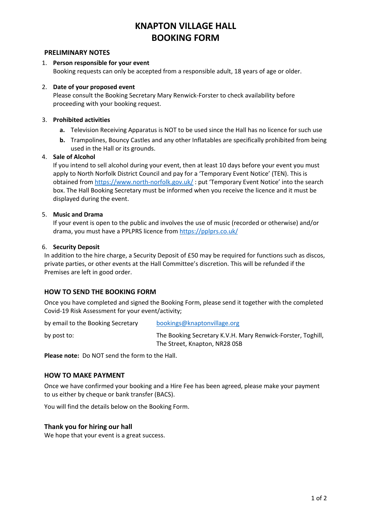# **KNAPTON VILLAGE HALL BOOKING FORM**

# **PRELIMINARY NOTES**

# 1. **Person responsible for your event** Booking requests can only be accepted from a responsible adult, 18 years of age or older.

# 2. **Date of your proposed event**

Please consult the Booking Secretary Mary Renwick-Forster to check availability before proceeding with your booking request.

# 3. **Prohibited activities**

- **a.** Television Receiving Apparatus is NOT to be used since the Hall has no licence for such use
- **b.** Trampolines, Bouncy Castles and any other Inflatables are specifically prohibited from being used in the Hall or its grounds.

#### 4. **Sale of Alcohol**

If you intend to sell alcohol during your event, then at least 10 days before your event you must apply to North Norfolk District Council and pay for a 'Temporary Event Notice' (TEN). This is obtained from https://www.north-norfolk.gov.uk/ : put 'Temporary Event Notice' into the search box. The Hall Booking Secretary must be informed when you receive the licence and it must be displayed during the event.

#### 5. **Music and Drama**

If your event is open to the public and involves the use of music (recorded or otherwise) and/or drama, you must have a PPLPRS licence from https://pplprs.co.uk/

#### 6. **Security Deposit**

In addition to the hire charge, a Security Deposit of £50 may be required for functions such as discos, private parties, or other events at the Hall Committee's discretion. This will be refunded if the Premises are left in good order.

# **HOW TO SEND THE BOOKING FORM**

Once you have completed and signed the Booking Form, please send it together with the completed Covid-19 Risk Assessment for your event/activity;

| by email to the Booking Secretary | bookings@knaptonvillage.org                                                                  |  |
|-----------------------------------|----------------------------------------------------------------------------------------------|--|
| by post to:                       | The Booking Secretary K.V.H. Mary Renwick-Forster, Toghill,<br>The Street, Knapton, NR28 OSB |  |

**Please note:** Do NOT send the form to the Hall.

# **HOW TO MAKE PAYMENT**

Once we have confirmed your booking and a Hire Fee has been agreed, please make your payment to us either by cheque or bank transfer (BACS).

You will find the details below on the Booking Form.

# **Thank you for hiring our hall**

We hope that your event is a great success.